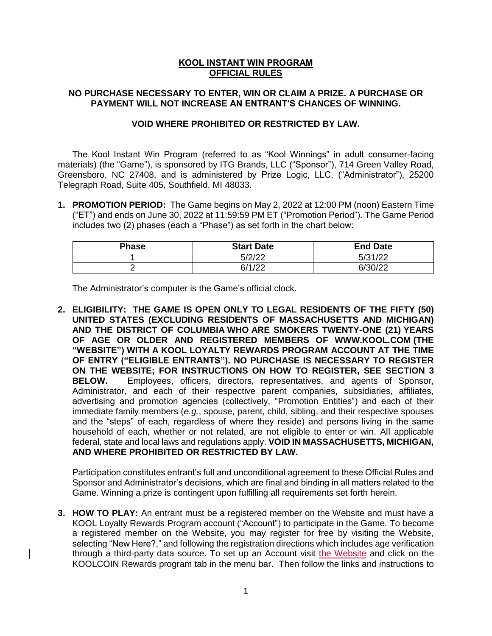## **KOOL INSTANT WIN PROGRAM OFFICIAL RULES**

## **NO PURCHASE NECESSARY TO ENTER, WIN OR CLAIM A PRIZE. A PURCHASE OR PAYMENT WILL NOT INCREASE AN ENTRANT'S CHANCES OF WINNING.**

## **VOID WHERE PROHIBITED OR RESTRICTED BY LAW.**

The Kool Instant Win Program (referred to as "Kool Winnings" in adult consumer-facing materials) (the "Game"), is sponsored by ITG Brands, LLC ("Sponsor"), 714 Green Valley Road, Greensboro, NC 27408, and is administered by Prize Logic, LLC, ("Administrator"), 25200 Telegraph Road, Suite 405, Southfield, MI 48033.

**1. PROMOTION PERIOD:** The Game begins on May 2, 2022 at 12:00 PM (noon) Eastern Time ("ET") and ends on June 30, 2022 at 11:59:59 PM ET ("Promotion Period"). The Game Period includes two (2) phases (each a "Phase") as set forth in the chart below:

| <b>Phase</b> | <b>Start Date</b> | <b>End Date</b> |
|--------------|-------------------|-----------------|
|              | 5/2/22            | 5/31/22         |
|              | 6/1/22            | 6/30/22         |

The Administrator's computer is the Game's official clock.

**2. ELIGIBILITY: THE GAME IS OPEN ONLY TO LEGAL RESIDENTS OF THE FIFTY (50) UNITED STATES (EXCLUDING RESIDENTS OF MASSACHUSETTS AND MICHIGAN) AND THE DISTRICT OF COLUMBIA WHO ARE SMOKERS TWENTY-ONE (21) YEARS OF AGE OR OLDER AND REGISTERED MEMBERS OF WWW.KOOL.COM (THE "WEBSITE") WITH A KOOL LOYALTY REWARDS PROGRAM ACCOUNT AT THE TIME OF ENTRY ("ELIGIBLE ENTRANTS"). NO PURCHASE IS NECESSARY TO REGISTER ON THE WEBSITE; FOR INSTRUCTIONS ON HOW TO REGISTER, SEE SECTION 3 BELOW.** Employees, officers, directors, representatives, and agents of Sponsor, Administrator, and each of their respective parent companies, subsidiaries, affiliates, advertising and promotion agencies (collectively, "Promotion Entities") and each of their immediate family members (*e.g.*, spouse, parent, child, sibling, and their respective spouses and the "steps" of each, regardless of where they reside) and persons living in the same household of each, whether or not related, are not eligible to enter or win. All applicable federal, state and local laws and regulations apply. **VOID IN MASSACHUSETTS, MICHIGAN, AND WHERE PROHIBITED OR RESTRICTED BY LAW.** 

Participation constitutes entrant's full and unconditional agreement to these Official Rules and Sponsor and Administrator's decisions, which are final and binding in all matters related to the Game. Winning a prize is contingent upon fulfilling all requirements set forth herein.

**3. HOW TO PLAY:** An entrant must be a registered member on the Website and must have a KOOL Loyalty Rewards Program account ("Account") to participate in the Game. To become a registered member on the Website, you may register for free by visiting the Website, selecting "New Here?," and following the registration directions which includes age verification through a third-party data source. To set up an Account visit [the Website](https://kool.com/) and click on the KOOLCOIN Rewards program tab in the menu bar. Then follow the links and instructions to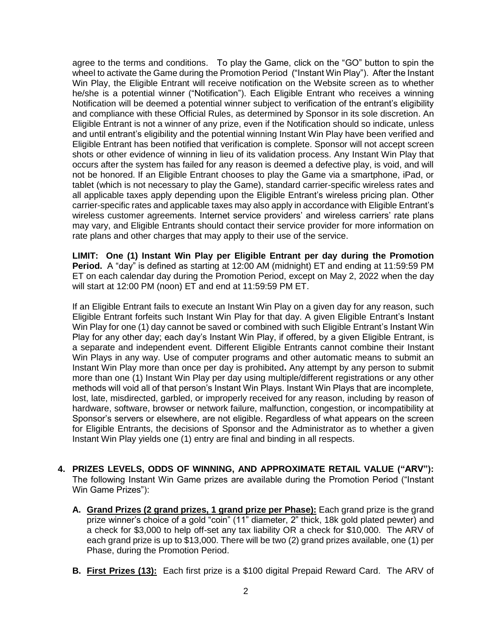agree to the terms and conditions. To play the Game, click on the "GO" button to spin the wheel to activate the Game during the Promotion Period ("Instant Win Play"). After the Instant Win Play, the Eligible Entrant will receive notification on the Website screen as to whether he/she is a potential winner ("Notification"). Each Eligible Entrant who receives a winning Notification will be deemed a potential winner subject to verification of the entrant's eligibility and compliance with these Official Rules, as determined by Sponsor in its sole discretion. An Eligible Entrant is not a winner of any prize, even if the Notification should so indicate, unless and until entrant's eligibility and the potential winning Instant Win Play have been verified and Eligible Entrant has been notified that verification is complete. Sponsor will not accept screen shots or other evidence of winning in lieu of its validation process. Any Instant Win Play that occurs after the system has failed for any reason is deemed a defective play, is void, and will not be honored. If an Eligible Entrant chooses to play the Game via a smartphone, iPad, or tablet (which is not necessary to play the Game), standard carrier-specific wireless rates and all applicable taxes apply depending upon the Eligible Entrant's wireless pricing plan. Other carrier-specific rates and applicable taxes may also apply in accordance with Eligible Entrant's wireless customer agreements. Internet service providers' and wireless carriers' rate plans may vary, and Eligible Entrants should contact their service provider for more information on rate plans and other charges that may apply to their use of the service.

**LIMIT: One (1) Instant Win Play per Eligible Entrant per day during the Promotion Period.** A "day" is defined as starting at 12:00 AM (midnight) ET and ending at 11:59:59 PM ET on each calendar day during the Promotion Period, except on May 2, 2022 when the day will start at 12:00 PM (noon) ET and end at 11:59:59 PM ET.

If an Eligible Entrant fails to execute an Instant Win Play on a given day for any reason, such Eligible Entrant forfeits such Instant Win Play for that day. A given Eligible Entrant's Instant Win Play for one (1) day cannot be saved or combined with such Eligible Entrant's Instant Win Play for any other day; each day's Instant Win Play, if offered, by a given Eligible Entrant, is a separate and independent event. Different Eligible Entrants cannot combine their Instant Win Plays in any way. Use of computer programs and other automatic means to submit an Instant Win Play more than once per day is prohibited**.** Any attempt by any person to submit more than one (1) Instant Win Play per day using multiple/different registrations or any other methods will void all of that person's Instant Win Plays. Instant Win Plays that are incomplete, lost, late, misdirected, garbled, or improperly received for any reason, including by reason of hardware, software, browser or network failure, malfunction, congestion, or incompatibility at Sponsor's servers or elsewhere, are not eligible. Regardless of what appears on the screen for Eligible Entrants, the decisions of Sponsor and the Administrator as to whether a given Instant Win Play yields one (1) entry are final and binding in all respects.

- **4. PRIZES LEVELS, ODDS OF WINNING, AND APPROXIMATE RETAIL VALUE ("ARV"):** The following Instant Win Game prizes are available during the Promotion Period ("Instant Win Game Prizes"):
	- **A. Grand Prizes (2 grand prizes, 1 grand prize per Phase):** Each grand prize is the grand prize winner's choice of a gold "coin" (11" diameter, 2" thick, 18k gold plated pewter) and a check for \$3,000 to help off-set any tax liability OR a check for \$10,000. The ARV of each grand prize is up to \$13,000. There will be two (2) grand prizes available, one (1) per Phase, during the Promotion Period.
	- **B. First Prizes (13):** Each first prize is a \$100 digital Prepaid Reward Card. The ARV of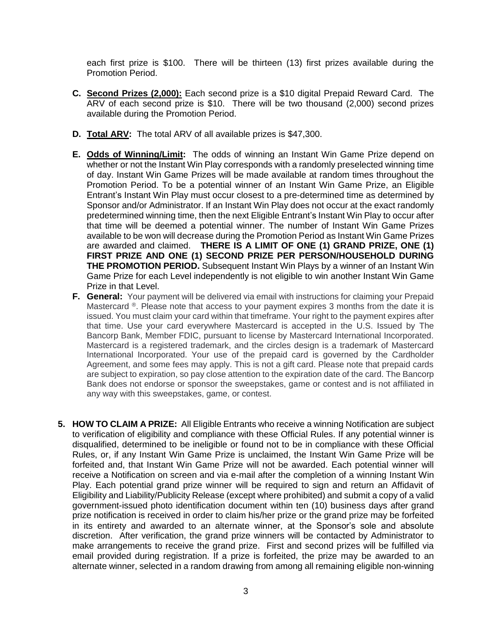each first prize is \$100. There will be thirteen (13) first prizes available during the Promotion Period.

- **C. Second Prizes (2,000):** Each second prize is a \$10 digital Prepaid Reward Card. The ARV of each second prize is \$10. There will be two thousand (2,000) second prizes available during the Promotion Period.
- **D. Total ARV:** The total ARV of all available prizes is \$47,300.
- **E. Odds of Winning/Limit:** The odds of winning an Instant Win Game Prize depend on whether or not the Instant Win Play corresponds with a randomly preselected winning time of day. Instant Win Game Prizes will be made available at random times throughout the Promotion Period. To be a potential winner of an Instant Win Game Prize, an Eligible Entrant's Instant Win Play must occur closest to a pre-determined time as determined by Sponsor and/or Administrator. If an Instant Win Play does not occur at the exact randomly predetermined winning time, then the next Eligible Entrant's Instant Win Play to occur after that time will be deemed a potential winner. The number of Instant Win Game Prizes available to be won will decrease during the Promotion Period as Instant Win Game Prizes are awarded and claimed. **THERE IS A LIMIT OF ONE (1) GRAND PRIZE, ONE (1) FIRST PRIZE AND ONE (1) SECOND PRIZE PER PERSON/HOUSEHOLD DURING THE PROMOTION PERIOD.** Subsequent Instant Win Plays by a winner of an Instant Win Game Prize for each Level independently is not eligible to win another Instant Win Game Prize in that Level.
- **F. General:** Your payment will be delivered via email with instructions for claiming your Prepaid Mastercard  $\mathcal{R}$ . Please note that access to your payment expires 3 months from the date it is issued. You must claim your card within that timeframe. Your right to the payment expires after that time. Use your card everywhere Mastercard is accepted in the U.S. Issued by The Bancorp Bank, Member FDIC, pursuant to license by Mastercard International Incorporated. Mastercard is a registered trademark, and the circles design is a trademark of Mastercard International Incorporated. Your use of the prepaid card is governed by the Cardholder Agreement, and some fees may apply. This is not a gift card. Please note that prepaid cards are subject to expiration, so pay close attention to the expiration date of the card. The Bancorp Bank does not endorse or sponsor the sweepstakes, game or contest and is not affiliated in any way with this sweepstakes, game, or contest.
- **5. HOW TO CLAIM A PRIZE:** All Eligible Entrants who receive a winning Notification are subject to verification of eligibility and compliance with these Official Rules. If any potential winner is disqualified, determined to be ineligible or found not to be in compliance with these Official Rules, or, if any Instant Win Game Prize is unclaimed, the Instant Win Game Prize will be forfeited and, that Instant Win Game Prize will not be awarded. Each potential winner will receive a Notification on screen and via e-mail after the completion of a winning Instant Win Play. Each potential grand prize winner will be required to sign and return an Affidavit of Eligibility and Liability/Publicity Release (except where prohibited) and submit a copy of a valid government-issued photo identification document within ten (10) business days after grand prize notification is received in order to claim his/her prize or the grand prize may be forfeited in its entirety and awarded to an alternate winner, at the Sponsor's sole and absolute discretion. After verification, the grand prize winners will be contacted by Administrator to make arrangements to receive the grand prize. First and second prizes will be fulfilled via email provided during registration. If a prize is forfeited, the prize may be awarded to an alternate winner, selected in a random drawing from among all remaining eligible non-winning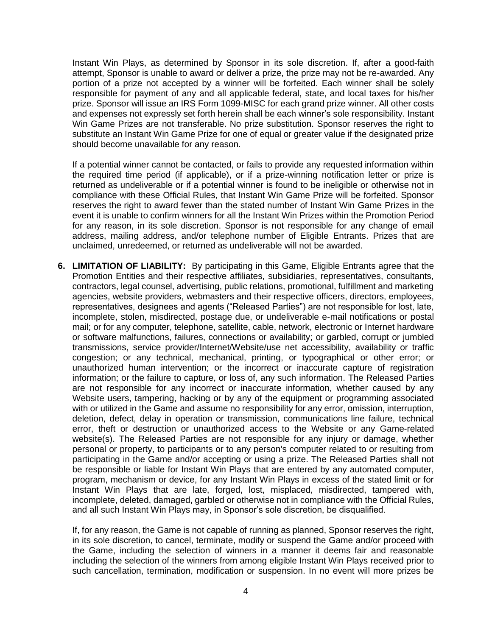Instant Win Plays, as determined by Sponsor in its sole discretion. If, after a good-faith attempt, Sponsor is unable to award or deliver a prize, the prize may not be re-awarded. Any portion of a prize not accepted by a winner will be forfeited. Each winner shall be solely responsible for payment of any and all applicable federal, state, and local taxes for his/her prize. Sponsor will issue an IRS Form 1099-MISC for each grand prize winner. All other costs and expenses not expressly set forth herein shall be each winner's sole responsibility. Instant Win Game Prizes are not transferable. No prize substitution. Sponsor reserves the right to substitute an Instant Win Game Prize for one of equal or greater value if the designated prize should become unavailable for any reason.

If a potential winner cannot be contacted, or fails to provide any requested information within the required time period (if applicable), or if a prize-winning notification letter or prize is returned as undeliverable or if a potential winner is found to be ineligible or otherwise not in compliance with these Official Rules, that Instant Win Game Prize will be forfeited. Sponsor reserves the right to award fewer than the stated number of Instant Win Game Prizes in the event it is unable to confirm winners for all the Instant Win Prizes within the Promotion Period for any reason, in its sole discretion. Sponsor is not responsible for any change of email address, mailing address, and/or telephone number of Eligible Entrants. Prizes that are unclaimed, unredeemed, or returned as undeliverable will not be awarded.

**6. LIMITATION OF LIABILITY:** By participating in this Game, Eligible Entrants agree that the Promotion Entities and their respective affiliates, subsidiaries, representatives, consultants, contractors, legal counsel, advertising, public relations, promotional, fulfillment and marketing agencies, website providers, webmasters and their respective officers, directors, employees, representatives, designees and agents ("Released Parties") are not responsible for lost, late, incomplete, stolen, misdirected, postage due, or undeliverable e-mail notifications or postal mail; or for any computer, telephone, satellite, cable, network, electronic or Internet hardware or software malfunctions, failures, connections or availability; or garbled, corrupt or jumbled transmissions, service provider/Internet/Website/use net accessibility, availability or traffic congestion; or any technical, mechanical, printing, or typographical or other error; or unauthorized human intervention; or the incorrect or inaccurate capture of registration information; or the failure to capture, or loss of, any such information. The Released Parties are not responsible for any incorrect or inaccurate information, whether caused by any Website users, tampering, hacking or by any of the equipment or programming associated with or utilized in the Game and assume no responsibility for any error, omission, interruption, deletion, defect, delay in operation or transmission, communications line failure, technical error, theft or destruction or unauthorized access to the Website or any Game-related website(s). The Released Parties are not responsible for any injury or damage, whether personal or property, to participants or to any person's computer related to or resulting from participating in the Game and/or accepting or using a prize. The Released Parties shall not be responsible or liable for Instant Win Plays that are entered by any automated computer, program, mechanism or device, for any Instant Win Plays in excess of the stated limit or for Instant Win Plays that are late, forged, lost, misplaced, misdirected, tampered with, incomplete, deleted, damaged, garbled or otherwise not in compliance with the Official Rules, and all such Instant Win Plays may, in Sponsor's sole discretion, be disqualified.

If, for any reason, the Game is not capable of running as planned, Sponsor reserves the right, in its sole discretion, to cancel, terminate, modify or suspend the Game and/or proceed with the Game, including the selection of winners in a manner it deems fair and reasonable including the selection of the winners from among eligible Instant Win Plays received prior to such cancellation, termination, modification or suspension. In no event will more prizes be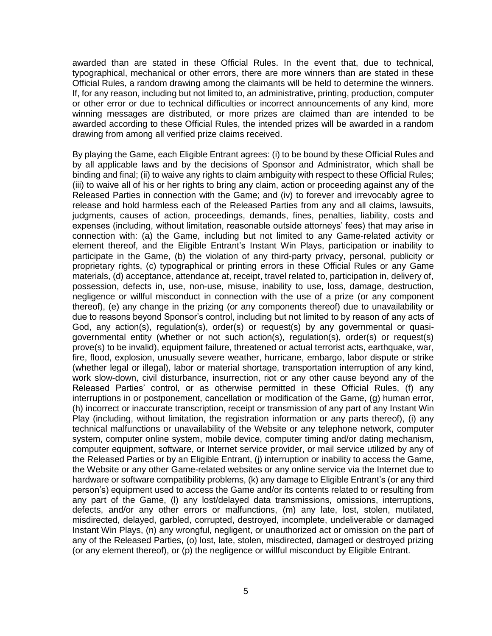awarded than are stated in these Official Rules. In the event that, due to technical, typographical, mechanical or other errors, there are more winners than are stated in these Official Rules, a random drawing among the claimants will be held to determine the winners. If, for any reason, including but not limited to, an administrative, printing, production, computer or other error or due to technical difficulties or incorrect announcements of any kind, more winning messages are distributed, or more prizes are claimed than are intended to be awarded according to these Official Rules, the intended prizes will be awarded in a random drawing from among all verified prize claims received.

By playing the Game, each Eligible Entrant agrees: (i) to be bound by these Official Rules and by all applicable laws and by the decisions of Sponsor and Administrator, which shall be binding and final; (ii) to waive any rights to claim ambiguity with respect to these Official Rules; (iii) to waive all of his or her rights to bring any claim, action or proceeding against any of the Released Parties in connection with the Game; and (iv) to forever and irrevocably agree to release and hold harmless each of the Released Parties from any and all claims, lawsuits, judgments, causes of action, proceedings, demands, fines, penalties, liability, costs and expenses (including, without limitation, reasonable outside attorneys' fees) that may arise in connection with: (a) the Game, including but not limited to any Game-related activity or element thereof, and the Eligible Entrant's Instant Win Plays, participation or inability to participate in the Game, (b) the violation of any third-party privacy, personal, publicity or proprietary rights, (c) typographical or printing errors in these Official Rules or any Game materials, (d) acceptance, attendance at, receipt, travel related to, participation in, delivery of, possession, defects in, use, non-use, misuse, inability to use, loss, damage, destruction, negligence or willful misconduct in connection with the use of a prize (or any component thereof), (e) any change in the prizing (or any components thereof) due to unavailability or due to reasons beyond Sponsor's control, including but not limited to by reason of any acts of God, any action(s), regulation(s), order(s) or request(s) by any governmental or quasigovernmental entity (whether or not such action(s), regulation(s), order(s) or request(s) prove(s) to be invalid), equipment failure, threatened or actual terrorist acts, earthquake, war, fire, flood, explosion, unusually severe weather, hurricane, embargo, labor dispute or strike (whether legal or illegal), labor or material shortage, transportation interruption of any kind, work slow-down, civil disturbance, insurrection, riot or any other cause beyond any of the Released Parties' control, or as otherwise permitted in these Official Rules, (f) any interruptions in or postponement, cancellation or modification of the Game, (g) human error, (h) incorrect or inaccurate transcription, receipt or transmission of any part of any Instant Win Play (including, without limitation, the registration information or any parts thereof), (i) any technical malfunctions or unavailability of the Website or any telephone network, computer system, computer online system, mobile device, computer timing and/or dating mechanism, computer equipment, software, or Internet service provider, or mail service utilized by any of the Released Parties or by an Eligible Entrant, (j) interruption or inability to access the Game, the Website or any other Game-related websites or any online service via the Internet due to hardware or software compatibility problems, (k) any damage to Eligible Entrant's (or any third person's) equipment used to access the Game and/or its contents related to or resulting from any part of the Game, (l) any lost/delayed data transmissions, omissions, interruptions, defects, and/or any other errors or malfunctions, (m) any late, lost, stolen, mutilated, misdirected, delayed, garbled, corrupted, destroyed, incomplete, undeliverable or damaged Instant Win Plays, (n) any wrongful, negligent, or unauthorized act or omission on the part of any of the Released Parties, (o) lost, late, stolen, misdirected, damaged or destroyed prizing (or any element thereof), or (p) the negligence or willful misconduct by Eligible Entrant.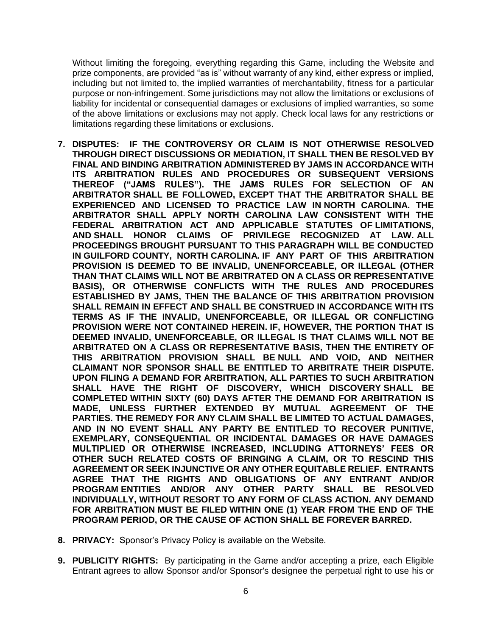Without limiting the foregoing, everything regarding this Game, including the Website and prize components, are provided "as is" without warranty of any kind, either express or implied, including but not limited to, the implied warranties of merchantability, fitness for a particular purpose or non-infringement. Some jurisdictions may not allow the limitations or exclusions of liability for incidental or consequential damages or exclusions of implied warranties, so some of the above limitations or exclusions may not apply. Check local laws for any restrictions or limitations regarding these limitations or exclusions.

- **7. DISPUTES: IF THE CONTROVERSY OR CLAIM IS NOT OTHERWISE RESOLVED THROUGH DIRECT DISCUSSIONS OR MEDIATION, IT SHALL THEN BE RESOLVED BY FINAL AND BINDING ARBITRATION ADMINISTERED BY JAMS IN ACCORDANCE WITH ITS ARBITRATION RULES AND PROCEDURES OR SUBSEQUENT VERSIONS THEREOF ("JAMS RULES"). THE JAMS RULES FOR SELECTION OF AN ARBITRATOR SHALL BE FOLLOWED, EXCEPT THAT THE ARBITRATOR SHALL BE EXPERIENCED AND LICENSED TO PRACTICE LAW IN NORTH CAROLINA. THE ARBITRATOR SHALL APPLY NORTH CAROLINA LAW CONSISTENT WITH THE FEDERAL ARBITRATION ACT AND APPLICABLE STATUTES OF LIMITATIONS, AND SHALL HONOR CLAIMS OF PRIVILEGE RECOGNIZED AT LAW. ALL PROCEEDINGS BROUGHT PURSUANT TO THIS PARAGRAPH WILL BE CONDUCTED IN GUILFORD COUNTY, NORTH CAROLINA. IF ANY PART OF THIS ARBITRATION PROVISION IS DEEMED TO BE INVALID, UNENFORCEABLE, OR ILLEGAL (OTHER THAN THAT CLAIMS WILL NOT BE ARBITRATED ON A CLASS OR REPRESENTATIVE BASIS), OR OTHERWISE CONFLICTS WITH THE RULES AND PROCEDURES ESTABLISHED BY JAMS, THEN THE BALANCE OF THIS ARBITRATION PROVISION SHALL REMAIN IN EFFECT AND SHALL BE CONSTRUED IN ACCORDANCE WITH ITS TERMS AS IF THE INVALID, UNENFORCEABLE, OR ILLEGAL OR CONFLICTING PROVISION WERE NOT CONTAINED HEREIN. IF, HOWEVER, THE PORTION THAT IS DEEMED INVALID, UNENFORCEABLE, OR ILLEGAL IS THAT CLAIMS WILL NOT BE ARBITRATED ON A CLASS OR REPRESENTATIVE BASIS, THEN THE ENTIRETY OF THIS ARBITRATION PROVISION SHALL BE NULL AND VOID, AND NEITHER CLAIMANT NOR SPONSOR SHALL BE ENTITLED TO ARBITRATE THEIR DISPUTE. UPON FILING A DEMAND FOR ARBITRATION, ALL PARTIES TO SUCH ARBITRATION SHALL HAVE THE RIGHT OF DISCOVERY, WHICH DISCOVERY SHALL BE COMPLETED WITHIN SIXTY (60) DAYS AFTER THE DEMAND FOR ARBITRATION IS MADE, UNLESS FURTHER EXTENDED BY MUTUAL AGREEMENT OF THE PARTIES. THE REMEDY FOR ANY CLAIM SHALL BE LIMITED TO ACTUAL DAMAGES, AND IN NO EVENT SHALL ANY PARTY BE ENTITLED TO RECOVER PUNITIVE, EXEMPLARY, CONSEQUENTIAL OR INCIDENTAL DAMAGES OR HAVE DAMAGES MULTIPLIED OR OTHERWISE INCREASED, INCLUDING ATTORNEYS' FEES OR OTHER SUCH RELATED COSTS OF BRINGING A CLAIM, OR TO RESCIND THIS AGREEMENT OR SEEK INJUNCTIVE OR ANY OTHER EQUITABLE RELIEF. ENTRANTS AGREE THAT THE RIGHTS AND OBLIGATIONS OF ANY ENTRANT AND/OR PROGRAM ENTITIES AND/OR ANY OTHER PARTY SHALL BE RESOLVED INDIVIDUALLY, WITHOUT RESORT TO ANY FORM OF CLASS ACTION. ANY DEMAND FOR ARBITRATION MUST BE FILED WITHIN ONE (1) YEAR FROM THE END OF THE PROGRAM PERIOD, OR THE CAUSE OF ACTION SHALL BE FOREVER BARRED.**
- **8. PRIVACY:** Sponsor's Privacy Policy is available on the Website.
- **9. PUBLICITY RIGHTS:** By participating in the Game and/or accepting a prize, each Eligible Entrant agrees to allow Sponsor and/or Sponsor's designee the perpetual right to use his or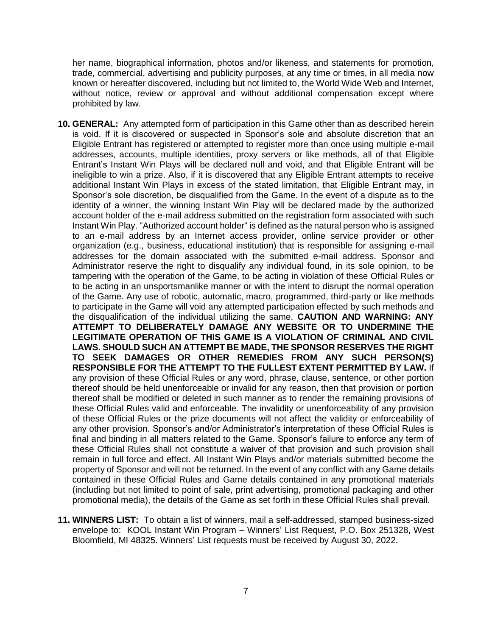her name, biographical information, photos and/or likeness, and statements for promotion, trade, commercial, advertising and publicity purposes, at any time or times, in all media now known or hereafter discovered, including but not limited to, the World Wide Web and Internet, without notice, review or approval and without additional compensation except where prohibited by law.

- **10. GENERAL:** Any attempted form of participation in this Game other than as described herein is void. If it is discovered or suspected in Sponsor's sole and absolute discretion that an Eligible Entrant has registered or attempted to register more than once using multiple e-mail addresses, accounts, multiple identities, proxy servers or like methods, all of that Eligible Entrant's Instant Win Plays will be declared null and void, and that Eligible Entrant will be ineligible to win a prize. Also, if it is discovered that any Eligible Entrant attempts to receive additional Instant Win Plays in excess of the stated limitation, that Eligible Entrant may, in Sponsor's sole discretion, be disqualified from the Game. In the event of a dispute as to the identity of a winner, the winning Instant Win Play will be declared made by the authorized account holder of the e-mail address submitted on the registration form associated with such Instant Win Play. "Authorized account holder" is defined as the natural person who is assigned to an e-mail address by an Internet access provider, online service provider or other organization (e.g., business, educational institution) that is responsible for assigning e-mail addresses for the domain associated with the submitted e-mail address. Sponsor and Administrator reserve the right to disqualify any individual found, in its sole opinion, to be tampering with the operation of the Game, to be acting in violation of these Official Rules or to be acting in an unsportsmanlike manner or with the intent to disrupt the normal operation of the Game. Any use of robotic, automatic, macro, programmed, third-party or like methods to participate in the Game will void any attempted participation effected by such methods and the disqualification of the individual utilizing the same. **CAUTION AND WARNING: ANY ATTEMPT TO DELIBERATELY DAMAGE ANY WEBSITE OR TO UNDERMINE THE LEGITIMATE OPERATION OF THIS GAME IS A VIOLATION OF CRIMINAL AND CIVIL LAWS. SHOULD SUCH AN ATTEMPT BE MADE, THE SPONSOR RESERVES THE RIGHT TO SEEK DAMAGES OR OTHER REMEDIES FROM ANY SUCH PERSON(S) RESPONSIBLE FOR THE ATTEMPT TO THE FULLEST EXTENT PERMITTED BY LAW.** If any provision of these Official Rules or any word, phrase, clause, sentence, or other portion thereof should be held unenforceable or invalid for any reason, then that provision or portion thereof shall be modified or deleted in such manner as to render the remaining provisions of these Official Rules valid and enforceable. The invalidity or unenforceability of any provision of these Official Rules or the prize documents will not affect the validity or enforceability of any other provision. Sponsor's and/or Administrator's interpretation of these Official Rules is final and binding in all matters related to the Game. Sponsor's failure to enforce any term of these Official Rules shall not constitute a waiver of that provision and such provision shall remain in full force and effect. All Instant Win Plays and/or materials submitted become the property of Sponsor and will not be returned. In the event of any conflict with any Game details contained in these Official Rules and Game details contained in any promotional materials (including but not limited to point of sale, print advertising, promotional packaging and other promotional media), the details of the Game as set forth in these Official Rules shall prevail.
- **11. WINNERS LIST:** To obtain a list of winners, mail a self-addressed, stamped business-sized envelope to: KOOL Instant Win Program – Winners' List Request, P.O. Box 251328, West Bloomfield, MI 48325. Winners' List requests must be received by August 30, 2022.